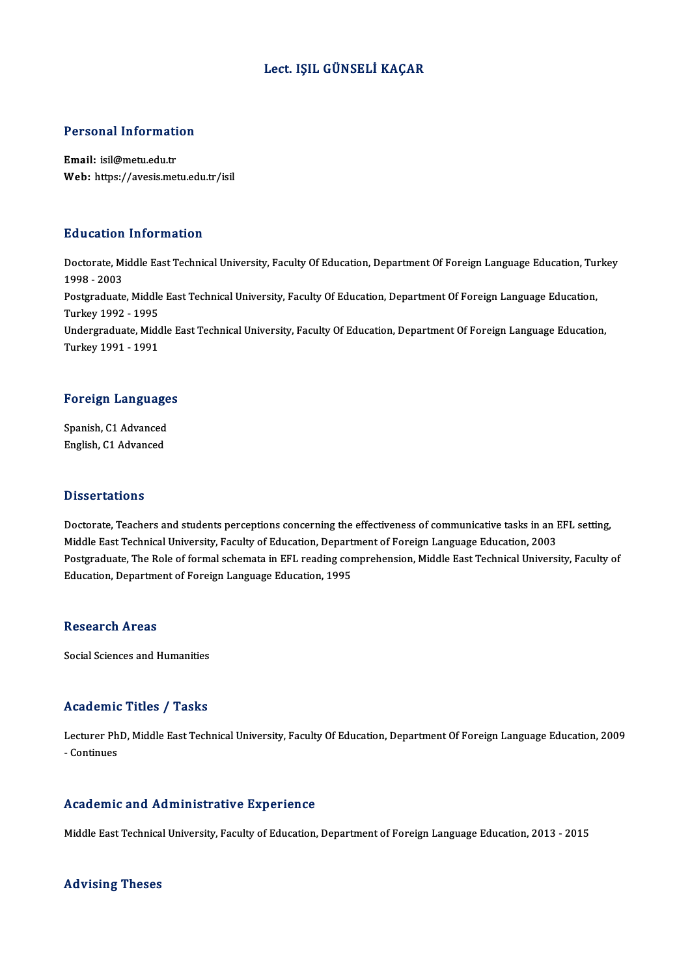#### Lect. IŞIL GÜNSELİ KAÇAR

# Personal Information

Personal Informati<br>Email: isil@metu.edu.tr<br>Web: https://avasis.met Email: isil@metu.edu.tr<br>Web: https://avesis.metu.edu.tr/isil

#### Education Information

**Education Information**<br>Doctorate, Middle East Technical University, Faculty Of Education, Department Of Foreign Language Education, Turkey<br>1998 - 2003 2<br>1998 - 2003<br>Postaraduata Doctorate, Middle East Technical University, Faculty Of Education, Department Of Foreign Language Education, Tu<br>1998 - 2003<br>Postgraduate, Middle East Technical University, Faculty Of Education, Department Of Foreign Langua 1998 - 2003<br>Postgraduate, Middle<br>Turkey 1992 - 1995<br>Undergraduate, Mide Postgraduate, Middle East Technical University, Faculty Of Education, Department Of Foreign Language Education,<br>Turkey 1992 - 1995<br>Undergraduate, Middle East Technical University, Faculty Of Education, Department Of Foreig Turkey 1992 - 1995<br>Undergraduate, Midc<br>Turkey 1991 - 1991

# Turkey 1991 - 1991<br>Foreign Languages

F<mark>oreign Language</mark><br>Spanish, C1 Advanced<br>English C1 Advanced Spanish, C1 Advanced<br>English, C1 Advanced

#### **Dissertations**

Dissertations<br>Doctorate, Teachers and students perceptions concerning the effectiveness of communicative tasks in an EFL setting,<br>Middle Fest Technical University, Faculty of Education, Department of Fereign Language Educa Dissol cations<br>Doctorate, Teachers and students perceptions concerning the effectiveness of communicative tasks in an I<br>Middle East Technical University, Faculty of Education, Department of Foreign Language Education, 2003 Doctorate, Teachers and students perceptions concerning the effectiveness of communicative tasks in an EFL setting,<br>Middle East Technical University, Faculty of Education, Department of Foreign Language Education, 2003<br>Pos Middle East Technical University, Faculty of Education, Department of Foreign Language Education, 2003<br>Postgraduate, The Role of formal schemata in EFL reading comprehension, Middle East Technical University, Faculty of<br>Ed

#### **Research Areas**

Social Sciences and Humanities

#### Academic Titles / Tasks

Academic Titles / Tasks<br>Lecturer PhD, Middle East Technical University, Faculty Of Education, Department Of Foreign Language Education, 2009<br>Continues Lecturer Ph<br>Lecturer Ph<br>- Continues Academic and Administrative Experience

Middle East Technical University, Faculty of Education, Department of Foreign Language Education, 2013 - 2015

#### Advising Theses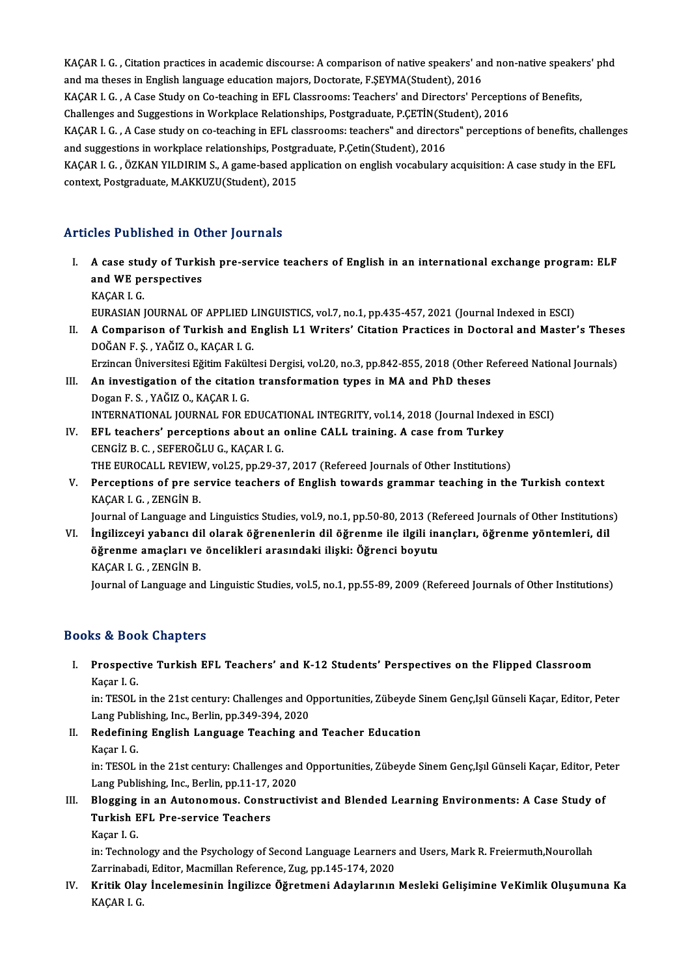KAÇAR I. G. , Citation practices in academic discourse: A comparison of native speakers' and non-native speakers' phd<br>and ma theses in English language education majors. Destenste, E SEVMA(Student), 2016. KAÇAR I. G. , Citation practices in academic discourse: A comparison of native speakers' ar<br>and ma theses in English language education majors, Doctorate, F.ŞEYMA(Student), 2016<br>KACAR I. G. , A Casa Study on Co-taashing in KAÇAR I. G. , Citation practices in academic discourse: A comparison of native speakers' and non-native speake<br>and ma theses in English language education majors, Doctorate, F.ŞEYMA(Student), 2016<br>KAÇAR I. G. , A Case Stud and ma theses in English language education majors, Doctorate, F.ŞEYMA(Student), 2016<br>KAÇAR I. G. , A Case Study on Co-teaching in EFL Classrooms: Teachers' and Directors' Perceptic<br>Challenges and Suggestions in Workplace KAÇAR I. G. , A Case Study on Co-teaching in EFL Classrooms: Teachers' and Directors' Perceptions of Benefits,<br>Challenges and Suggestions in Workplace Relationships, Postgraduate, P.ÇETİN(Student), 2016<br>KAÇAR I. G. , A Cas Challenges and Suggestions in Workplace Relationships, Postgraduate, P.ÇETİN(St:<br>KAÇAR I. G. , A Case study on co-teaching in EFL classrooms: teachers" and directo<br>and suggestions in workplace relationships, Postgraduate, KAÇAR I. G. , A Case study on co-teaching in EFL classrooms: teachers" and directors" perceptions of benefits, challeng<br>and suggestions in workplace relationships, Postgraduate, P.Çetin(Student), 2016<br>KAÇAR I. G. , ÖZKAN Y and suggestions in workplace relationships, Postgraduate, P.Çetin(Student), 2016<br>KAÇAR I. G. , ÖZKAN YILDIRIM S., A game-based application on english vocabulary acquisition: A case study in the EFL<br>context, Postgraduate, M

### Articles Published in Other Journals

- Iticles Published in Other Journals<br>I. A case study of Turkish pre-service teachers of English in an international exchange program: ELF<br>and WE perspectives A case study of Turki<br>and WE perspectives<br>KACAB L.C **A case stude<br>and WE pe<br>KAÇAR I. G.<br>EUPASIAN I** and WE perspectives<br>KAÇAR I. G.<br>EURASIAN JOURNAL OF APPLIED LINGUISTICS, vol.7, no.1, pp.435-457, 2021 (Journal Indexed in ESCI)
	-

KAÇAR I. G.<br>EURASIAN JOURNAL OF APPLIED LINGUISTICS, vol.7, no.1, pp.435-457, 2021 (Journal Indexed in ESCI)<br>II. A Comparison of Turkish and English L1 Writers' Citation Practices in Doctoral and Master's Theses<br>ROČANE EURASIAN JOURNAL OF APPLIED L<br>A Comparison of Turkish and E<br>DOĞAN F. Ş. , YAĞIZ O., KAÇAR I. G.<br>Erringen Üniversitesi Eğitim Feltült A Comparison of Turkish and English L1 Writers' Citation Practices in Doctoral and Master's These<br>DOĞAN F. Ş. , YAĞIZ O., KAÇAR I. G.<br>Erzincan Üniversitesi Eğitim Fakültesi Dergisi, vol.20, no.3, pp.842-855, 2018 (Other Re

DOĞAN F. Ş. , YAĞIZ O., KAÇAR I. G.<br>Erzincan Üniversitesi Eğitim Fakültesi Dergisi, vol.20, no.3, pp.842-855, 2018 (Other R<br>III. An investigation of the citation transformation types in MA and PhD theses<br>Degan E.S., YAĞIZ Erzincan Üniversitesi Eğitim Fakül<br>An investigation of the citatio<br>Dogan F. S. , YAĞIZ O., KAÇAR I. G.<br>INTERNATIONAL JOURNAL FOR E An investigation of the citation transformation types in MA and PhD theses<br>Dogan F. S. , YAĞIZ O., KAÇAR I. G.<br>INTERNATIONAL JOURNAL FOR EDUCATIONAL INTEGRITY, vol.14, 2018 (Journal Indexed in ESCI)<br>EEL teachers' persentio Dogan F. S., YAĞIZ O., KAÇAR I. G.<br>INTERNATIONAL JOURNAL FOR EDUCATIONAL INTEGRITY, vol.14, 2018 (Journal Indexe<br>IV. EFL teachers' perceptions about an online CALL training. A case from Turkey

- INTERNATIONAL JOURNAL FOR EDUCAT.<br>EFL teachers' perceptions about an<br>CENGİZ B. C. , SEFEROĞLU G., KAÇAR I. G.<br>THE EUROCALL PEVIEW, Vol 25, pp.29.23 IV. EFL teachers' perceptions about an online CALL training. A case from Turkey<br>CENGIZ B. C., SEFEROGLU G., KAÇAR I. G.<br>THE EUROCALL REVIEW, vol.25, pp.29-37, 2017 (Refereed Journals of Other Institutions) CENGİZ B. C. , SEFEROĞLU G., KAÇAR I. G.<br>THE EUROCALL REVIEW, vol.25, pp.29-37, 2017 (Refereed Journals of Other Institutions)<br>V. Perceptions of pre service teachers of English towards grammar teaching in the Turkish c
- KAÇAR I. G. , ZENGİN B.<br>Journal of Language and Linguistics Studies, vol.9, no.1, pp.50-80, 2013 (Refereed Journals of Other Institutions) Perceptions of pre service teachers of English towards grammar teaching in the Turkish context<br>KAÇAR I. G. , ZENGİN B.<br>Journal of Language and Linguistics Studies, vol.9, no.1, pp.50-80, 2013 (Refereed Journals of Other In

VI. İngilizceyi yabancı dil olarak öğrenenlerin dil öğrenme ile ilgili inançları, öğrenme yöntemleri, dil Journal of Language and Linguistics Studies, vol.9, no.1, pp.50-80, 2013 (Re<br>İngilizceyi yabancı dil olarak öğrenenlerin dil öğrenme ile ilgili in:<br>öğrenme amaçları ve öncelikleri arasındaki ilişki: Öğrenci boyutu<br>KACAR L. İngilizceyi yabancı di<br>öğrenme amaçları ve<br>KAÇAR I. G. , ZENGİN B.<br>Journal of Language an KAÇAR I. G. , ZENGİN B.<br>Journal of Language and Linguistic Studies, vol.5, no.1, pp.55-89, 2009 (Refereed Journals of Other Institutions)

### Books&Book Chapters

## ooks & Book Chapters<br>I. Prospective Turkish EFL Teachers' and K-12 Students' Perspectives on the Flipped Classroom<br>Kasar L.C ks & 200<br>Prospecti<br>Kaçar I. G.<br>in: TESOL Prospective Turkish EFL Teachers' and K-12 Students' Perspectives on the Flipped Classroom<br>Kaçar I. G.<br>in: TESOL in the 21st century: Challenges and Opportunities, Zübeyde Sinem Genç,Işıl Günseli Kaçar, Editor, Peter

Kaçar I. G.<br>in: TESOL in the 21st century: Challenges and O<br>Lang Publishing, Inc., Berlin, pp.349-394, 2020<br>Bodefining English Language Teaching an in: TESOL in the 21st century: Challenges and Opportunities, Zübeyde Sinem Genç,Işıl Günseli Kaçar, Editor, Peter<br>Lang Publishing, Inc., Berlin, pp.349-394, 2020<br>II. Redefining English Language Teaching and Teacher Educati

Lang Publi<br><mark>Redefinin</mark><br>Kaçar I. G.<br>in: TESOL

Redefining English Language Teaching and Teacher Education<br>Kaçar I. G.<br>in: TESOL in the 21st century: Challenges and Opportunities, Zübeyde Sinem Genç,Işıl Günseli Kaçar, Editor, Peter Kaçar I. G.<br>in: TESOL in the 21st century: Challenges and<br>Lang Publishing, Inc., Berlin, pp.11-17, 2020<br>Plegging in an Autonomous, Constructi in: TESOL in the 21st century: Challenges and Opportunities, Zübeyde Sinem Genç,Işıl Günseli Kaçar, Editor, Pe<br>Lang Publishing, Inc., Berlin, pp.11-17, 2020<br>III. Blogging in an Autonomous. Constructivist and Blended Learni

## Lang Publishing, Inc., Berlin, pp.11-17,<br>Blogging in an Autonomous. Const<br>Turkish EFL Pre-service Teachers<br>Kasar I G Blogging<br>Turkish E<br>Kaçar I. G.<br>in:Techne

Turkish EFL Pre-service Teachers<br>Kaçar I. G.<br>in: Technology and the Psychology of Second Language Learners and Users, Mark R. Freiermuth,Nourollah<br>Zarringhedi, Editor, Magmillan Reference, Zug, np.145,174,2020. Kaçar I. G.<br>in: Technology and the Psychology of Second Language Learners<br>Zarrinabadi, Editor, Macmillan Reference, Zug, pp.145-174, 2020<br>Kritik Olav, İngelemesinin İngilizes Öğretmeni, Adevleninin in: Technology and the Psychology of Second Language Learners and Users, Mark R. Freiermuth,Nourollah<br>Zarrinabadi, Editor, Macmillan Reference, Zug, pp.145-174, 2020<br>IV. Kritik Olay İncelemesinin İngilizce Öğretmeni Adayla

Zarrinabad<br><mark>Kritik Olay</mark><br>KAÇAR I. G.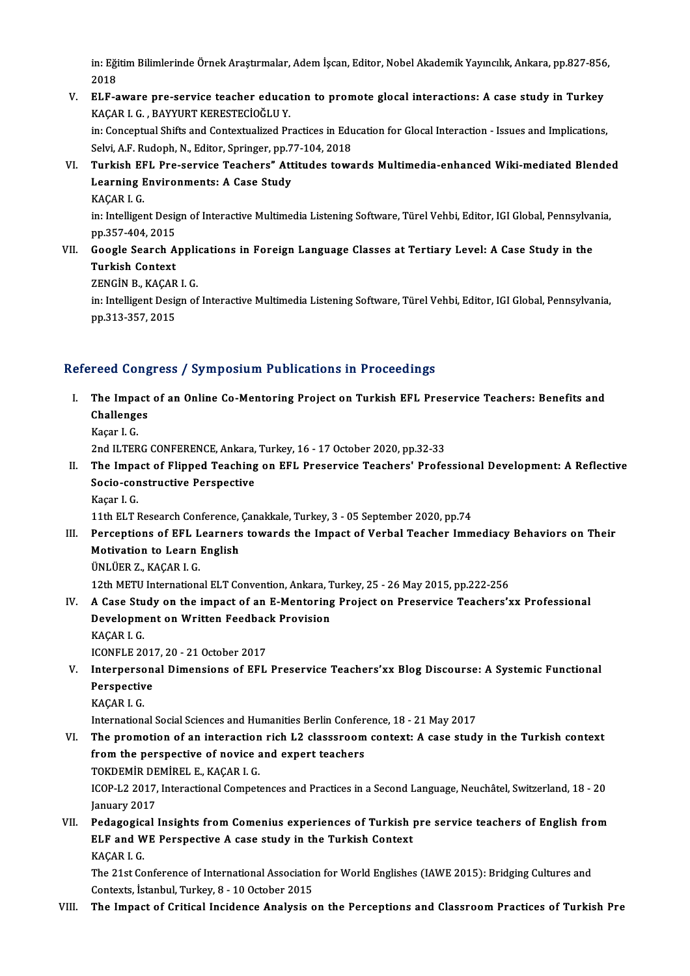in: Eğitim Bilimlerinde Örnek Araştırmalar, Adem İşcan, Editor, Nobel Akademik Yayıncılık, Ankara, pp.827-856,<br>2018 in: Eği<br>2018<br>ELE e in: Eğitim Bilimlerinde Örnek Araştırmalar, Adem İşcan, Editor, Nobel Akademik Yayıncılık, Ankara, pp.827-856<br>2018<br>V. ELF-aware pre-service teacher education to promote glocal interactions: A case study in Turkey<br>2000 L.C.

- 2018<br>V. ELF-aware pre-service teacher education to promote glocal interactions: A case study in Turkey<br>KAÇAR I. G. , BAYYURT KERESTECİOĞLU Y. ELF-aware pre-service teacher education to promote glocal interactions: A case study in Turkey<br>KAÇAR I. G. , BAYYURT KERESTECİOĞLU Y.<br>in: Conceptual Shifts and Contextualized Practices in Education for Glocal Interaction -KAÇAR I. G. , BAYYURT KERESTECİOĞLU Y.<br>in: Conceptual Shifts and Contextualized Practices in Edu<br>Selvi, A.F. Rudoph, N., Editor, Springer, pp.77-104, 2018<br>Turkish EEL Pre servise Teashers", Attitudes tevre in: Conceptual Shifts and Contextualized Practices in Education for Glocal Interaction - Issues and Implications,<br>Selvi, A.F. Rudoph, N., Editor, Springer, pp.77-104, 2018<br>VI. Turkish EFL Pre-service Teachers" Attitudes to
- Selvi, A.F. Rudoph, N., Editor, Springer, pp.7<br>Turkish EFL Pre-service Teachers" Att<br>Learning Environments: A Case Study<br>KACAB L.C Turkish EF<br>Learning F<br>KAÇAR I. G.<br>in: Intelliger

Learning Environments: A Case Study<br>KAÇAR I. G.<br>in: Intelligent Design of Interactive Multimedia Listening Software, Türel Vehbi, Editor, IGI Global, Pennsylvania,<br>nn 257,404,2015 KAÇAR I. G.<br>in: Intelligent Desig<br>pp.357-404, 2015<br>Ceesle Searsh A in: Intelligent Design of Interactive Multimedia Listening Software, Türel Vehbi, Editor, IGI Global, Pennsylva<br>pp.357-404, 2015<br>VII. Google Search Applications in Foreign Language Classes at Tertiary Level: A Case Study i

pp.357-404, 2015<br>VII. Google Search Applications in Foreign Language Classes at Tertiary Level: A Case Study in the<br>Turkish Context Google Search Applic<br>Turkish Context<br>ZENGİN B., KAÇAR I. G.<br>in: Intelligent Design of

in: Intelligent Design of Interactive Multimedia Listening Software, Türel Vehbi, Editor, IGI Global, Pennsylvania,<br>pp.313-357, 2015 ZENGİN B., KAÇAR<br>in: Intelligent Desig<br>pp.313-357, 2015

### Refereed Congress / Symposium Publications in Proceedings

efereed Congress / Symposium Publications in Proceedings<br>I. The Impact of an Online Co-Mentoring Project on Turkish EFL Preservice Teachers: Benefits and<br>Challanges The Impact<br>The Impact<br>Challenges Kaçar I.G.

2nd ILTERG CONFERENCE, Ankara, Turkey, 16 - 17 October 2020, pp.32-33

II. The Impact of Flipped Teaching on EFL Preservice Teachers' Professional Development: A Reflective 2nd ILTERG CONFERENCE, Ankara,<br>The Impact of Flipped Teaching<br>Socio-constructive Perspective<br>Kasar L.C. The Impa<br>Socio-cor<br>Kaçar I. G.<br>11th ELT I

Kaçar I. G.<br>11th ELT Research Conference, Çanakkale, Turkey, 3 - 05 September 2020, pp.74

III. Perceptions of EFL Learners towards the Impact of Verbal Teacher Immediacy Behaviors on Their 11th ELT Research Conference,<br>Perceptions of EFL Learners<br>Motivation to Learn English<br><sup>Thu tien 7, KACAB LC</sup> Perceptions of EFL L<br>Motivation to Learn<br>ÜNLÜER Z., KAÇAR I. G.<br>12th METH Internations

ÜNLÜER Z., KAÇAR I. G.<br>12th METU International ELT Convention, Ankara, Turkey, 25 - 26 May 2015, pp.222-256

- UNLUER Z., KAÇAR I. G.<br>12th METU International ELT Convention, Ankara, Turkey, 25 26 May 2015, pp.222-256<br>IV. A Case Study on the impact of an E-Mentoring Project on Preservice Teachers'xx Professional<br>Development on 12th METU International ELT Convention, Ankara, T<br>A Case Study on the impact of an E-Mentoring<br>Development on Written Feedback Provision<br>KACAR LC A Case Stu<br>Developme<br>KAÇAR I. G.<br>ICONELE 20 Development on Written Feedbac<br>KAÇAR I. G.<br>ICONFLE 2017, 20 - 21 October 2017<br>Internarscanal Dimensions of EEL
- KAÇAR I. G.<br>ICONFLE 2017, 20 21 October 2017<br>V. Interpersonal Dimensions of EFL Preservice Teachers'xx Blog Discourse: A Systemic Functional<br>Perspective **ICONFLE 201<br>Interperson<br>Perspective<br>KACAP L C** 
	- KAÇARI.G.

International Social Sciences and Humanities Berlin Conference, 18 - 21 May 2017

VI. The promotion of an interaction rich L2 classsroomcontext: A case study in the Turkish context International Social Sciences and Humanities Berlin Confer<br>The promotion of an interaction rich L2 classsroom<br>from the perspective of novice and expert teachers<br>TOKDEMID DEMIDELE KAGARL G The promotion of an interaction<br>from the perspective of novice a<br>TOKDEMİR DEMİREL E., KAÇAR I. G.<br>JCOB L2 2017, Interactional Compet

from the perspective of novice and expert teachers<br>TOKDEMİR DEMİREL E., KAÇAR I. G.<br>ICOP-L2 2017, Interactional Competences and Practices in a Second Language, Neuchâtel, Switzerland, 18 - 20<br>January 2017 TOKDEMİR DEMİREL E., KAÇAR I. G.<br>ICOP-L2 2017, Interactional Competences and Practices in a Second Language, Neuchâtel, Switzerland, 18 - 20<br>January 2017<br>VII. Pedagogical Insights from Comenius experiences of Turkish p ICOP-L2 2017, Interactional Competences and Practices in a Second Language, Neuchâtel, Switzerland, 18 - 20<br>January 2017<br>VII. Pedagogical Insights from Comenius experiences of Turkish pre service teachers of English from<br>F

## January 2017<br>Pedagogical Insights from Comenius experiences of Turkish <sub>]</sub><br>ELF and WE Perspective A case study in the Turkish Context<br>KACAR L.C Pedagogic:<br>ELF and W<br>KAÇAR I. G.<br>The 21st Co ELF and WE Perspective A case study in the Turkish Context<br>KAÇAR I. G.<br>The 21st Conference of International Association for World Englishes (IAWE 2015): Bridging Cultures and<br>Contexts Jataphyl Tyrkey 8, 10 October 2015

KAÇAR I. G.<br>The 21st Conference of International Association<br>Contexts, İstanbul, Turkey, 8 - 10 October 2015<br>The Impest of Critical Insidence Analysis s

Contexts, İstanbul, Turkey, 8 - 10 October 2015<br>VIII. The Impact of Critical Incidence Analysis on the Perceptions and Classroom Practices of Turkish Pre